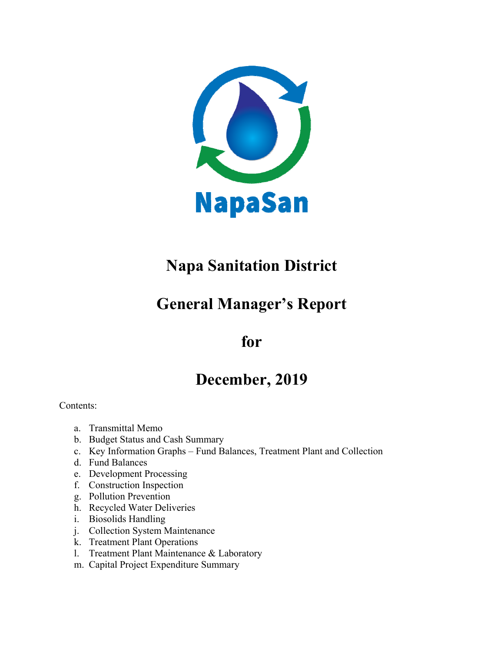

## **Napa Sanitation District**

## **General Manager's Report**

## **for**

## **December, 2019**

Contents:

- a. Transmittal Memo
- b. Budget Status and Cash Summary
- c. Key Information Graphs Fund Balances, Treatment Plant and Collection
- d. Fund Balances
- e. Development Processing
- f. Construction Inspection
- g. Pollution Prevention
- h. Recycled Water Deliveries
- i. Biosolids Handling
- j. Collection System Maintenance
- k. Treatment Plant Operations
- l. Treatment Plant Maintenance & Laboratory
- m. Capital Project Expenditure Summary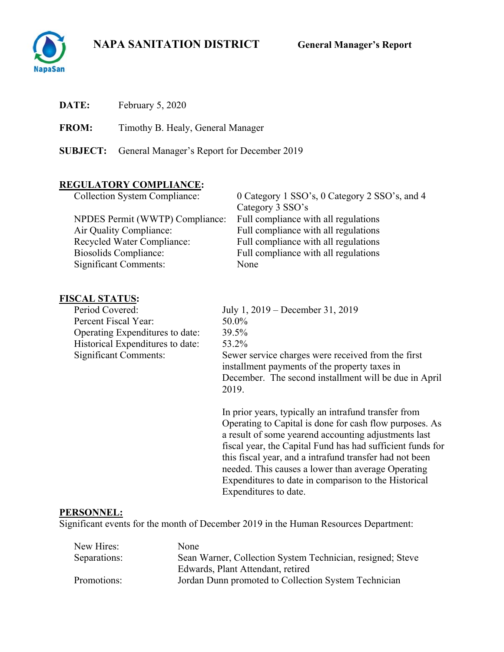## **NAPA SANITATION DISTRICT General Manager's Report**



| <b>DATE:</b> | February 5, 2020 |  |  |
|--------------|------------------|--|--|
|--------------|------------------|--|--|

**FROM:** Timothy B. Healy, General Manager

**SUBJECT:** General Manager's Report for December 2019

## **REGULATORY COMPLIANCE:**

| <b>Collection System Compliance:</b> | 0 Category 1 SSO's, 0 Category 2 SSO's, and 4 |
|--------------------------------------|-----------------------------------------------|
|                                      | Category 3 SSO's                              |
| NPDES Permit (WWTP) Compliance:      | Full compliance with all regulations          |
| Air Quality Compliance:              | Full compliance with all regulations          |
| <b>Recycled Water Compliance:</b>    | Full compliance with all regulations          |
| <b>Biosolids Compliance:</b>         | Full compliance with all regulations          |
| <b>Significant Comments:</b>         | None                                          |

# **FISCAL STATUS:**<br>Period Covered:

Percent Fiscal Year: Operating Expenditures to date: 39.5% Historical Expenditures to date: 53.2%<br>Significant Comments: Sewer

July 1, 2019 – December 31, 2019<br>50.0% Sewer service charges were received from the first installment payments of the property taxes in December. The second installment will be due in April 2019.

In prior years, typically an intrafund transfer from Operating to Capital is done for cash flow purposes. As a result of some yearend accounting adjustments last fiscal year, the Capital Fund has had sufficient funds for this fiscal year, and a intrafund transfer had not been needed. This causes a lower than average Operating Expenditures to date in comparison to the Historical Expenditures to date.

### **PERSONNEL:**

Significant events for the month of December 2019 in the Human Resources Department:

| New Hires:   | None                                                       |
|--------------|------------------------------------------------------------|
| Separations: | Sean Warner, Collection System Technician, resigned; Steve |
|              | Edwards, Plant Attendant, retired                          |
| Promotions:  | Jordan Dunn promoted to Collection System Technician       |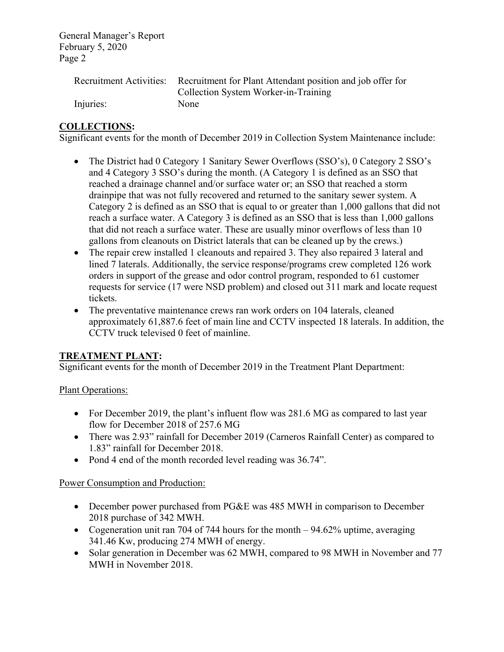|           | Recruitment Activities: Recruitment for Plant Attendant position and job offer for |
|-----------|------------------------------------------------------------------------------------|
|           | Collection System Worker-in-Training                                               |
| Injuries: | <b>None</b>                                                                        |

## **COLLECTIONS:**

Significant events for the month of December 2019 in Collection System Maintenance include:

- The District had 0 Category 1 Sanitary Sewer Overflows (SSO's), 0 Category 2 SSO's and 4 Category 3 SSO's during the month. (A Category 1 is defined as an SSO that reached a drainage channel and/or surface water or; an SSO that reached a storm drainpipe that was not fully recovered and returned to the sanitary sewer system. A Category 2 is defined as an SSO that is equal to or greater than 1,000 gallons that did not reach a surface water. A Category 3 is defined as an SSO that is less than 1,000 gallons that did not reach a surface water. These are usually minor overflows of less than 10 gallons from cleanouts on District laterals that can be cleaned up by the crews.)
- The repair crew installed 1 cleanouts and repaired 3. They also repaired 3 lateral and lined 7 laterals. Additionally, the service response/programs crew completed 126 work orders in support of the grease and odor control program, responded to 61 customer requests for service (17 were NSD problem) and closed out 311 mark and locate request tickets.
- The preventative maintenance crews ran work orders on 104 laterals, cleaned approximately 61,887.6 feet of main line and CCTV inspected 18 laterals. In addition, the CCTV truck televised 0 feet of mainline.

### **TREATMENT PLANT:**

Significant events for the month of December 2019 in the Treatment Plant Department:

### Plant Operations:

- For December 2019, the plant's influent flow was 281.6 MG as compared to last year flow for December 2018 of 257.6 MG
- There was 2.93" rainfall for December 2019 (Carneros Rainfall Center) as compared to 1.83" rainfall for December 2018.
- Pond 4 end of the month recorded level reading was 36.74".

### Power Consumption and Production:

- December power purchased from PG&E was 485 MWH in comparison to December 2018 purchase of 342 MWH.
- Cogeneration unit ran 704 of 744 hours for the month 94.62% uptime, averaging 341.46 Kw, producing 274 MWH of energy.
- Solar generation in December was 62 MWH, compared to 98 MWH in November and 77 MWH in November 2018.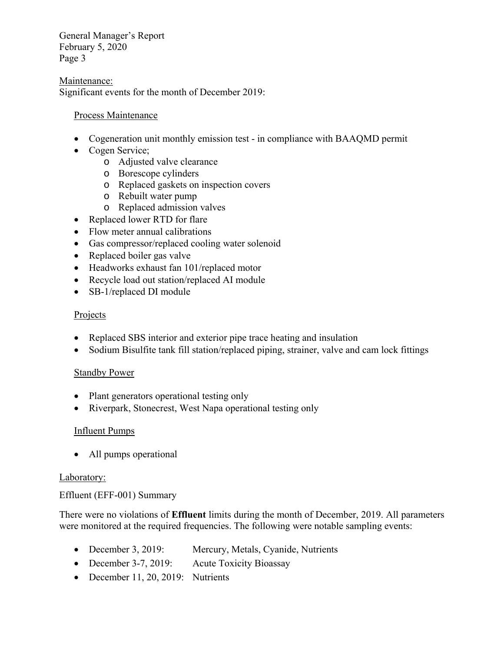#### Maintenance:

Significant events for the month of December 2019:

#### Process Maintenance

- Cogeneration unit monthly emission test in compliance with BAAQMD permit
- Cogen Service;
	- o Adjusted valve clearance
	- o Borescope cylinders
	- o Replaced gaskets on inspection covers
	- o Rebuilt water pump
	- o Replaced admission valves
- Replaced lower RTD for flare
- Flow meter annual calibrations
- Gas compressor/replaced cooling water solenoid
- Replaced boiler gas valve
- Headworks exhaust fan 101/replaced motor
- Recycle load out station/replaced AI module
- SB-1/replaced DI module

### **Projects**

- Replaced SBS interior and exterior pipe trace heating and insulation
- Sodium Bisulfite tank fill station/replaced piping, strainer, valve and cam lock fittings

### **Standby Power**

- Plant generators operational testing only
- Riverpark, Stonecrest, West Napa operational testing only

### Influent Pumps

• All pumps operational

### Laboratory:

### Effluent (EFF-001) Summary

There were no violations of **Effluent** limits during the month of December, 2019. All parameters were monitored at the required frequencies. The following were notable sampling events:

- December 3, 2019: Mercury, Metals, Cyanide, Nutrients
- December 3-7, 2019: Acute Toxicity Bioassay
- December 11, 20, 2019: Nutrients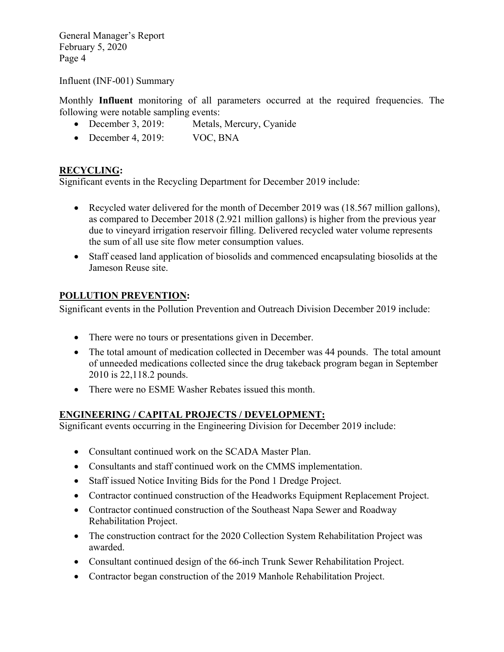Influent (INF-001) Summary

Monthly **Influent** monitoring of all parameters occurred at the required frequencies. The following were notable sampling events:

- December 3, 2019: Metals, Mercury, Cyanide
- December 4, 2019: VOC, BNA

## **RECYCLING:**

Significant events in the Recycling Department for December 2019 include:

- Recycled water delivered for the month of December 2019 was (18.567 million gallons), as compared to December 2018 (2.921 million gallons) is higher from the previous year due to vineyard irrigation reservoir filling. Delivered recycled water volume represents the sum of all use site flow meter consumption values.
- Staff ceased land application of biosolids and commenced encapsulating biosolids at the Jameson Reuse site.

## **POLLUTION PREVENTION:**

Significant events in the Pollution Prevention and Outreach Division December 2019 include:

- There were no tours or presentations given in December.
- The total amount of medication collected in December was 44 pounds. The total amount of unneeded medications collected since the drug takeback program began in September 2010 is 22,118.2 pounds.
- There were no ESME Washer Rebates issued this month.

### **ENGINEERING / CAPITAL PROJECTS / DEVELOPMENT:**

Significant events occurring in the Engineering Division for December 2019 include:

- Consultant continued work on the SCADA Master Plan.
- Consultants and staff continued work on the CMMS implementation.
- Staff issued Notice Inviting Bids for the Pond 1 Dredge Project.
- Contractor continued construction of the Headworks Equipment Replacement Project.
- Contractor continued construction of the Southeast Napa Sewer and Roadway Rehabilitation Project.
- The construction contract for the 2020 Collection System Rehabilitation Project was awarded.
- Consultant continued design of the 66-inch Trunk Sewer Rehabilitation Project.
- Contractor began construction of the 2019 Manhole Rehabilitation Project.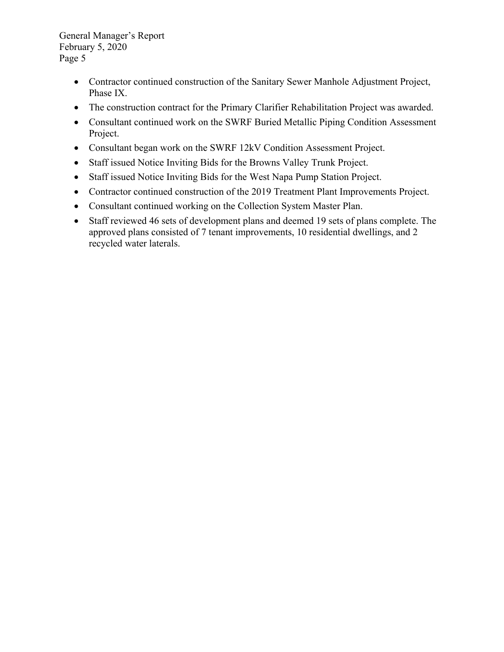- Contractor continued construction of the Sanitary Sewer Manhole Adjustment Project, Phase IX.
- The construction contract for the Primary Clarifier Rehabilitation Project was awarded.
- Consultant continued work on the SWRF Buried Metallic Piping Condition Assessment Project.
- Consultant began work on the SWRF 12kV Condition Assessment Project.
- Staff issued Notice Inviting Bids for the Browns Valley Trunk Project.
- Staff issued Notice Inviting Bids for the West Napa Pump Station Project.
- Contractor continued construction of the 2019 Treatment Plant Improvements Project.
- Consultant continued working on the Collection System Master Plan.
- Staff reviewed 46 sets of development plans and deemed 19 sets of plans complete. The approved plans consisted of 7 tenant improvements, 10 residential dwellings, and 2 recycled water laterals.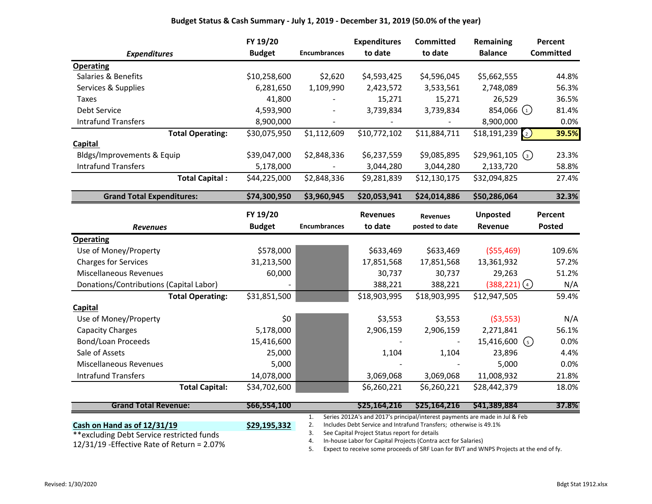|                                         | FY 19/20      |                     | <b>Expenditures</b> | <b>Committed</b> | Remaining                        | Percent          |
|-----------------------------------------|---------------|---------------------|---------------------|------------------|----------------------------------|------------------|
| <b>Expenditures</b>                     | <b>Budget</b> | <b>Encumbrances</b> | to date             | to date          | <b>Balance</b>                   | <b>Committed</b> |
| <b>Operating</b>                        |               |                     |                     |                  |                                  |                  |
| Salaries & Benefits                     | \$10,258,600  | \$2,620             | \$4,593,425         | \$4,596,045      | \$5,662,555                      | 44.8%            |
| Services & Supplies                     | 6,281,650     | 1,109,990           | 2,423,572           | 3,533,561        | 2,748,089                        | 56.3%            |
| <b>Taxes</b>                            | 41,800        |                     | 15,271              | 15,271           | 26,529                           | 36.5%            |
| Debt Service                            | 4,593,900     |                     | 3,739,834           | 3,739,834        | 854,066 $_1$                     | 81.4%            |
| <b>Intrafund Transfers</b>              | 8,900,000     |                     |                     |                  | 8,900,000                        | 0.0%             |
| <b>Total Operating:</b>                 | \$30,075,950  | \$1,112,609         | \$10,772,102        | \$11,884,711     | \$18,191,239<br>$\left(2\right)$ | 39.5%            |
| <b>Capital</b>                          |               |                     |                     |                  |                                  |                  |
| Bldgs/Improvements & Equip              | \$39,047,000  | \$2,848,336         | \$6,237,559         | \$9,085,895      | \$29,961,105<br>$\binom{3}{}$    | 23.3%            |
| <b>Intrafund Transfers</b>              | 5,178,000     |                     | 3,044,280           | 3,044,280        | 2,133,720                        | 58.8%            |
| <b>Total Capital:</b>                   | \$44,225,000  | \$2,848,336         | \$9,281,839         | \$12,130,175     | \$32,094,825                     | 27.4%            |
| <b>Grand Total Expenditures:</b>        | \$74,300,950  | \$3,960,945         | \$20,053,941        | \$24,014,886     | \$50,286,064                     | 32.3%            |
|                                         | FY 19/20      |                     | <b>Revenues</b>     | <b>Revenues</b>  | <b>Unposted</b>                  | Percent          |
| <b>Revenues</b>                         | <b>Budget</b> | <b>Encumbrances</b> | to date             | posted to date   | Revenue                          | Posted           |
| <b>Operating</b>                        |               |                     |                     |                  |                                  |                  |
| Use of Money/Property                   | \$578,000     |                     | \$633,469           | \$633,469        | ( \$55,469)                      | 109.6%           |
| <b>Charges for Services</b>             |               |                     |                     |                  |                                  |                  |
|                                         | 31,213,500    |                     | 17,851,568          | 17,851,568       | 13,361,932                       | 57.2%            |
| <b>Miscellaneous Revenues</b>           | 60,000        |                     | 30,737              | 30,737           | 29,263                           | 51.2%            |
| Donations/Contributions (Capital Labor) |               |                     | 388,221             | 388,221          | $(388, 221)$ (4)                 | N/A              |
| <b>Total Operating:</b>                 | \$31,851,500  |                     | \$18,903,995        | \$18,903,995     | \$12,947,505                     | 59.4%            |
| Capital                                 |               |                     |                     |                  |                                  |                  |
| Use of Money/Property                   | \$0           |                     | \$3,553             | \$3,553          | ( \$3,553)                       | N/A              |
| <b>Capacity Charges</b>                 | 5,178,000     |                     | 2,906,159           | 2,906,159        | 2,271,841                        | 56.1%            |
| <b>Bond/Loan Proceeds</b>               | 15,416,600    |                     |                     |                  | 15,416,600<br>$\left(5\right)$   | 0.0%             |
| Sale of Assets                          | 25,000        |                     | 1,104               | 1,104            | 23,896                           | 4.4%             |
| <b>Miscellaneous Revenues</b>           | 5,000         |                     |                     |                  | 5,000                            | 0.0%             |
| <b>Intrafund Transfers</b>              | 14,078,000    |                     | 3,069,068           | 3,069,068        | 11,008,932                       | 21.8%            |

| <b>Grand Total Revenue:</b>                  | S66.554.100  | 37.8%<br>S25.164.216<br>S25.164.216<br>S41.389.884                                      |  |  |  |  |  |  |  |
|----------------------------------------------|--------------|-----------------------------------------------------------------------------------------|--|--|--|--|--|--|--|
|                                              |              | Series 2012A's and 2017's principal/interest payments are made in Jul & Feb             |  |  |  |  |  |  |  |
| Cash on Hand as of 12/31/19                  | \$29,195,332 | Includes Debt Service and Intrafund Transfers; otherwise is 49.1%                       |  |  |  |  |  |  |  |
| **excluding Debt Service restricted funds    |              | See Capital Project Status report for details                                           |  |  |  |  |  |  |  |
| $12/31/19$ -Effective Rate of Return = 2.07% |              | In-house Labor for Capital Projects (Contra acct for Salaries)                          |  |  |  |  |  |  |  |
|                                              |              | Expect to receive some proceeds of SRF Loan for BVT and WNPS Projects at the end of fy. |  |  |  |  |  |  |  |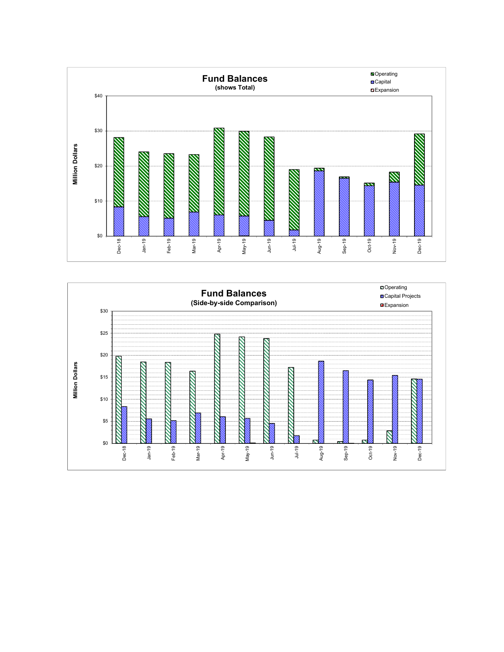

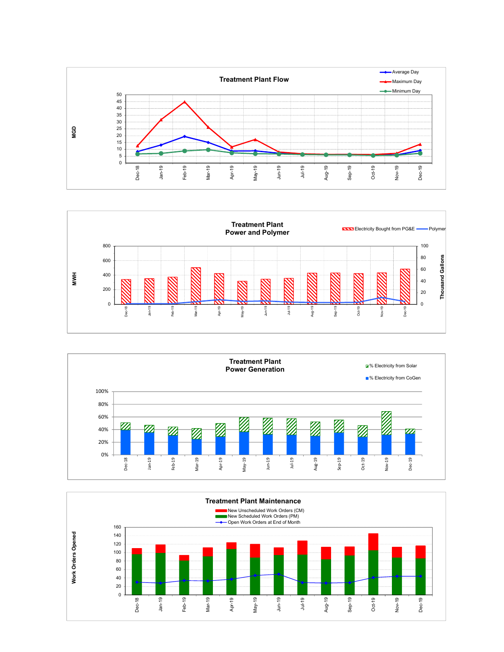





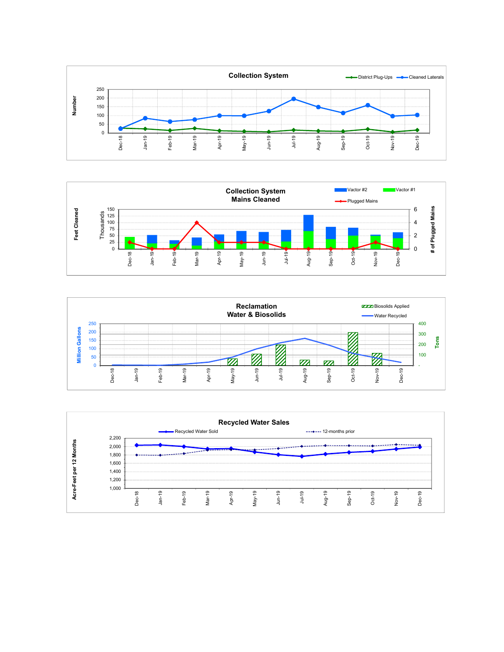





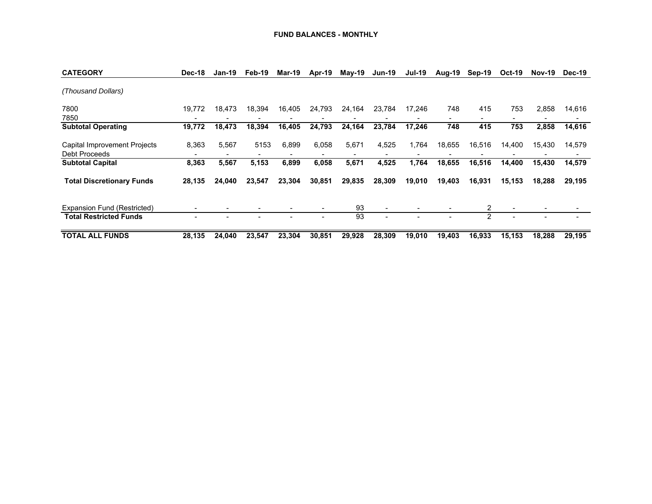#### **FUND BALANCES - MONTHLY**

| <b>CATEGORY</b>                                      | Dec-18 | Jan-19 | Feb-19 | <b>Mar-19</b> | Apr-19 | $M$ ay-19 | <b>Jun-19</b> | <b>Jul-19</b> | Aug-19 | Sep-19 | <b>Oct-19</b> | <b>Nov-19</b> | Dec-19 |
|------------------------------------------------------|--------|--------|--------|---------------|--------|-----------|---------------|---------------|--------|--------|---------------|---------------|--------|
| (Thousand Dollars)                                   |        |        |        |               |        |           |               |               |        |        |               |               |        |
| 7800<br>7850                                         | 19.772 | 18,473 | 18,394 | 16,405        | 24,793 | 24,164    | 23,784        | 17.246        | 748    | 415    | 753           | 2,858         | 14,616 |
| <b>Subtotal Operating</b>                            | 19,772 | 18,473 | 18,394 | 16,405        | 24,793 | 24,164    | 23,784        | 17,246        | 748    | 415    | 753           | 2,858         | 14,616 |
| Capital Improvement Projects<br><b>Debt Proceeds</b> | 8,363  | 5.567  | 5153   | 6.899         | 6,058  | 5,671     | 4,525         | 1,764         | 18,655 | 16,516 | 14,400        | 15,430        | 14,579 |
| <b>Subtotal Capital</b>                              | 8,363  | 5,567  | 5,153  | 6,899         | 6,058  | 5,671     | 4,525         | 1,764         | 18,655 | 16,516 | 14,400        | 15,430        | 14,579 |
| <b>Total Discretionary Funds</b>                     | 28,135 | 24.040 | 23,547 | 23,304        | 30,851 | 29,835    | 28,309        | 19,010        | 19,403 | 16,931 | 15,153        | 18,288        | 29,195 |
| Expansion Fund (Restricted)                          |        |        |        |               |        | 93        | ۰             |               |        | 2      |               |               |        |
| <b>Total Restricted Funds</b>                        |        |        |        |               |        | 93        |               |               |        | 2      |               |               |        |
| <b>TOTAL ALL FUNDS</b>                               | 28,135 | 24.040 | 23.547 | 23,304        | 30,851 | 29,928    | 28.309        | 19.010        | 19,403 | 16,933 | 15.153        | 18,288        | 29,195 |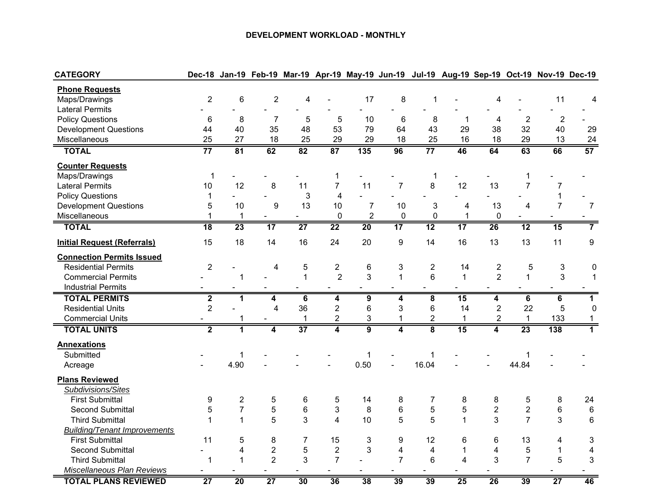#### **DEVELOPMENT WORKLOAD - MONTHLY**

| <b>CATEGORY</b>                     |                         |                 |                         |                 |                 |                 | Dec-18 Jan-19 Feb-19 Mar-19 Apr-19 May-19 Jun-19 Jul-19 Aug-19 Sep-19 Oct-19 Nov-19 Dec-19 |                         |                 |                     |                 |                 |                  |
|-------------------------------------|-------------------------|-----------------|-------------------------|-----------------|-----------------|-----------------|--------------------------------------------------------------------------------------------|-------------------------|-----------------|---------------------|-----------------|-----------------|------------------|
| <b>Phone Requests</b>               |                         |                 |                         |                 |                 |                 |                                                                                            |                         |                 |                     |                 |                 |                  |
| Maps/Drawings                       | $\overline{c}$          | 6               | $\overline{2}$          | 4               |                 | 17              | 8                                                                                          | 1                       |                 | 4                   |                 | 11              | 4                |
| <b>Lateral Permits</b>              |                         |                 |                         |                 |                 |                 |                                                                                            |                         |                 |                     |                 |                 |                  |
| <b>Policy Questions</b>             | 6                       | 8               | $\overline{7}$          | 5               | 5               | 10              | $\,6$                                                                                      | 8                       | 1               | 4                   | $\overline{2}$  | $\overline{2}$  |                  |
| <b>Development Questions</b>        | 44                      | 40              | 35                      | 48              | 53              | 79              | 64                                                                                         | 43                      | 29              | 38                  | 32              | 40              | 29               |
| Miscellaneous                       | 25                      | 27              | 18                      | 25              | 29              | 29              | 18                                                                                         | 25                      | 16              | 18                  | 29              | 13              | 24               |
| <b>TOTAL</b>                        | $\overline{77}$         | 81              | 62                      | 82              | 87              | 135             | 96                                                                                         | $\overline{77}$         | 46              | 64                  | 63              | 66              | 57               |
| <b>Counter Requests</b>             |                         |                 |                         |                 |                 |                 |                                                                                            |                         |                 |                     |                 |                 |                  |
| Maps/Drawings                       | $\mathbf{1}$            |                 |                         |                 | 1               |                 |                                                                                            | 1                       |                 |                     | 1               |                 |                  |
| <b>Lateral Permits</b>              | 10                      | 12              | 8                       | 11              | $\overline{7}$  | 11              | $\overline{7}$                                                                             | 8                       | 12              | 13                  | $\overline{7}$  | 7               |                  |
| <b>Policy Questions</b>             | $\mathbf{1}$            |                 |                         | 3               | $\overline{4}$  |                 |                                                                                            |                         |                 |                     |                 | 1               |                  |
| <b>Development Questions</b>        | 5                       | 10              | 9                       | 13              | 10              | $\overline{7}$  | 10                                                                                         | 3                       | 4               | 13                  | 4               | $\overline{7}$  | $\overline{7}$   |
| Miscellaneous                       | $\mathbf 1$             | $\mathbf 1$     | $\blacksquare$          | ۰               | $\mathbf 0$     | $\overline{2}$  | $\mathbf 0$                                                                                | $\mathbf 0$             | 1               | $\mathbf 0$         |                 |                 |                  |
| <b>TOTAL</b>                        | $\overline{18}$         | 23              | 17                      | $\overline{27}$ | $\overline{22}$ | $\overline{20}$ | $\overline{17}$                                                                            | $\overline{12}$         | 17              | 26                  | $\overline{12}$ | 15              | $\overline{7}$   |
| <b>Initial Request (Referrals)</b>  | 15                      | 18              | 14                      | 16              | 24              | 20              | 9                                                                                          | 14                      | 16              | 13                  | 13              | 11              | $\boldsymbol{9}$ |
| <b>Connection Permits Issued</b>    |                         |                 |                         |                 |                 |                 |                                                                                            |                         |                 |                     |                 |                 |                  |
| <b>Residential Permits</b>          | $\overline{2}$          |                 | 4                       | 5               | $\overline{c}$  | $\,6$           | 3                                                                                          | $\sqrt{2}$              | 14              | $\overline{c}$      | 5               | 3               | 0                |
| <b>Commercial Permits</b>           |                         | 1               |                         | $\mathbf{1}$    | $\overline{2}$  | 3               | $\mathbf{1}$                                                                               | $6\phantom{1}$          | $\mathbf{1}$    | $\overline{2}$      | $\mathbf{1}$    | 3               | 1                |
| <b>Industrial Permits</b>           |                         |                 |                         |                 |                 |                 |                                                                                            |                         |                 |                     |                 |                 |                  |
| <b>TOTAL PERMITS</b>                | $\mathbf 2$             | 1               | 4                       | 6               | 4               | 9               | 4                                                                                          | 8                       | 15              | 4                   | 6               | 6               | $\mathbf 1$      |
| <b>Residential Units</b>            | $\overline{2}$          |                 | $\overline{\mathbf{4}}$ | 36              | $\overline{2}$  | $6\phantom{1}$  | 3                                                                                          | $\,6$                   | 14              | $\overline{2}$      | 22              | 5               | $\mathbf 0$      |
| <b>Commercial Units</b>             |                         | 1               |                         | $\mathbf{1}$    | $\overline{2}$  | $\mathbf{3}$    | $\mathbf{1}$                                                                               | $\overline{2}$          | $\mathbf{1}$    | $\overline{2}$      | $\mathbf{1}$    | 133             | $\mathbf{1}$     |
| <b>TOTAL UNITS</b>                  | $\overline{\mathbf{2}}$ | 1               | 4                       | $\overline{37}$ | 4               | $\overline{9}$  | 4                                                                                          | $\overline{\mathbf{8}}$ | 15              | $\overline{\bf{4}}$ | 23              | 138             | $\overline{1}$   |
| <b>Annexations</b>                  |                         |                 |                         |                 |                 |                 |                                                                                            |                         |                 |                     |                 |                 |                  |
| Submitted                           |                         | 1               |                         |                 |                 | $\mathbf{1}$    |                                                                                            | 1                       |                 |                     | 1               |                 |                  |
| Acreage                             |                         | 4.90            |                         |                 |                 | 0.50            |                                                                                            | 16.04                   |                 |                     | 44.84           |                 |                  |
| <b>Plans Reviewed</b>               |                         |                 |                         |                 |                 |                 |                                                                                            |                         |                 |                     |                 |                 |                  |
| Subdivisions/Sites                  |                         |                 |                         |                 |                 |                 |                                                                                            |                         |                 |                     |                 |                 |                  |
| <b>First Submittal</b>              | $\boldsymbol{9}$        | $\overline{c}$  | $\mathbf 5$             | $\,6$           | 5               | 14              | 8                                                                                          | 7                       | 8               | 8                   | 5               | 8               | 24               |
| <b>Second Submittal</b>             | 5                       | $\overline{7}$  | $\sqrt{5}$              | $\,6$           | 3               | 8               | 6                                                                                          | 5                       | 5               | $\overline{2}$      | $\overline{c}$  | 6               | $\,6\,$          |
| <b>Third Submittal</b>              | 1                       | $\mathbf{1}$    | 5                       | 3               | 4               | 10              | 5                                                                                          | 5                       | $\mathbf{1}$    | 3                   | $\overline{7}$  | 3               | $\,6\,$          |
| <b>Building/Tenant Improvements</b> |                         |                 |                         |                 |                 |                 |                                                                                            |                         |                 |                     |                 |                 |                  |
| <b>First Submittal</b>              | 11                      | 5               | 8                       | $\overline{7}$  | 15              | 3               | 9                                                                                          | 12                      | 6               | 6                   | 13              | 4               | 3                |
| <b>Second Submittal</b>             |                         | 4               | $\overline{2}$          | 5               | $\overline{2}$  | 3               | 4                                                                                          | $\overline{\mathbf{4}}$ | 1               | 4                   | 5               | 1               | 4                |
| <b>Third Submittal</b>              | $\mathbf 1$             | $\mathbf 1$     | $\overline{2}$          | 3               | $\overline{7}$  |                 | $\overline{7}$                                                                             | $6\phantom{1}$          | 4               | 3                   | $\overline{7}$  | 5               | 3                |
| Miscellaneous Plan Reviews          |                         |                 |                         |                 |                 |                 |                                                                                            |                         |                 |                     |                 |                 |                  |
| <b>TOTAL PLANS REVIEWED</b>         | $\overline{27}$         | $\overline{20}$ | $\overline{27}$         | 30              | 36              | 38              | 39                                                                                         | 39                      | $\overline{25}$ | $\overline{26}$     | 39              | $\overline{27}$ | 46               |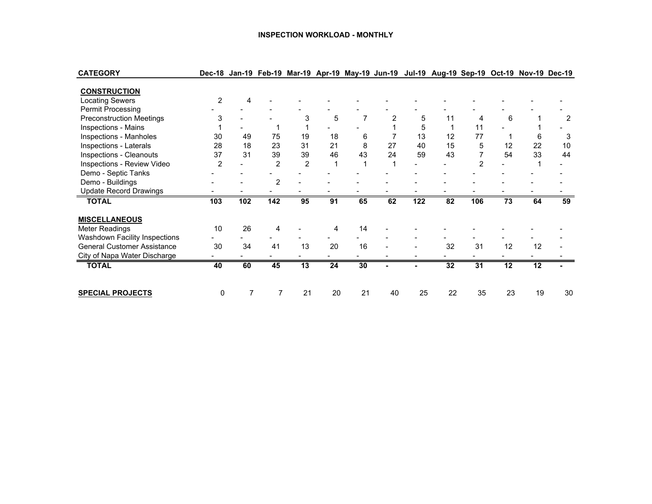#### **INSPECTION WORKLOAD - MONTHLY**

| <b>CATEGORY</b>                    | Dec-18         |     |                |    |    |    |    |     | Jan-19 Feb-19 Mar-19 Apr-19 May-19 Jun-19 Jul-19 Aug-19 Sep-19 Oct-19 Nov-19 Dec-19 |     |    |    |    |
|------------------------------------|----------------|-----|----------------|----|----|----|----|-----|-------------------------------------------------------------------------------------|-----|----|----|----|
| <b>CONSTRUCTION</b>                |                |     |                |    |    |    |    |     |                                                                                     |     |    |    |    |
| <b>Locating Sewers</b>             | $\overline{2}$ |     |                |    |    |    |    |     |                                                                                     |     |    |    |    |
| <b>Permit Processing</b>           |                |     |                |    |    |    |    |     |                                                                                     |     |    |    |    |
| <b>Preconstruction Meetings</b>    | 3              |     |                | 3  | 5  |    |    | 5   | 11                                                                                  | 4   | 6  |    | 2  |
| Inspections - Mains                |                |     |                |    |    |    |    | 5   |                                                                                     | 11  |    |    |    |
| Inspections - Manholes             | 30             | 49  | 75             | 19 | 18 | 6  |    | 13  | 12                                                                                  | 77  |    | 6  | 3  |
| Inspections - Laterals             | 28             | 18  | 23             | 31 | 21 | 8  | 27 | 40  | 15                                                                                  | 5   | 12 | 22 | 10 |
| Inspections - Cleanouts            | 37             | 31  | 39             | 39 | 46 | 43 | 24 | 59  | 43                                                                                  |     | 54 | 33 | 44 |
| Inspections - Review Video         | 2              |     | $\overline{2}$ | 2  |    |    |    |     |                                                                                     | 2   |    |    |    |
| Demo - Septic Tanks                |                |     |                |    |    |    |    |     |                                                                                     |     |    |    |    |
| Demo - Buildings                   |                |     | $\overline{2}$ |    |    |    |    |     |                                                                                     |     |    |    |    |
| <b>Update Record Drawings</b>      |                |     |                |    |    |    |    |     |                                                                                     |     |    |    |    |
| <b>TOTAL</b>                       | 103            | 102 | 142            | 95 | 91 | 65 | 62 | 122 | 82                                                                                  | 106 | 73 | 64 | 59 |
| <b>MISCELLANEOUS</b>               |                |     |                |    |    |    |    |     |                                                                                     |     |    |    |    |
| Meter Readings                     | 10             | 26  | 4              |    |    | 14 |    |     |                                                                                     |     |    |    |    |
| Washdown Facility Inspections      |                |     |                |    |    |    |    |     |                                                                                     |     |    |    |    |
| <b>General Customer Assistance</b> | 30             | 34  | 41             | 13 | 20 | 16 |    |     | 32                                                                                  | 31  | 12 | 12 |    |
| City of Napa Water Discharge       |                |     |                |    |    |    |    |     |                                                                                     |     |    |    |    |
| <b>TOTAL</b>                       | 40             | 60  | 45             | 13 | 24 | 30 |    |     | 32                                                                                  | 31  | 12 | 12 |    |
| <b>SPECIAL PROJECTS</b>            | 0              | 7   | 7              | 21 | 20 | 21 | 40 | 25  | 22                                                                                  | 35  | 23 | 19 | 30 |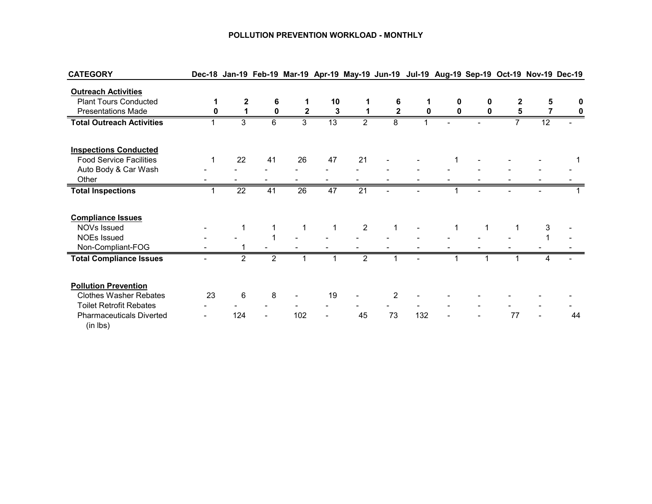#### **POLLUTION PREVENTION WORKLOAD - MONTHLY**

| <b>CATEGORY</b>                             |    |                 |                |                 |                 |                 |              |     |   |   |    |    | Dec-18 Jan-19 Feb-19 Mar-19 Apr-19 May-19 Jun-19 Jul-19 Aug-19 Sep-19 Oct-19 Nov-19 Dec-19 |
|---------------------------------------------|----|-----------------|----------------|-----------------|-----------------|-----------------|--------------|-----|---|---|----|----|--------------------------------------------------------------------------------------------|
| <b>Outreach Activities</b>                  |    |                 |                |                 |                 |                 |              |     |   |   |    |    |                                                                                            |
| <b>Plant Tours Conducted</b>                |    | 2               | 6              |                 | 10              |                 | 6            |     | 0 | 0 |    | 5  | 0                                                                                          |
| <b>Presentations Made</b>                   |    |                 | $\mathbf{0}$   | $\mathbf{2}$    | 3               |                 | $\mathbf{2}$ | 0   | 0 | 0 | 5  |    | 0                                                                                          |
| <b>Total Outreach Activities</b>            |    | 3               | 6              | 3               | 13              | $\mathcal{P}$   | 8            |     |   |   |    | 12 |                                                                                            |
| <b>Inspections Conducted</b>                |    |                 |                |                 |                 |                 |              |     |   |   |    |    |                                                                                            |
| <b>Food Service Facilities</b>              |    | 22              | 41             | 26              | 47              | 21              |              |     |   |   |    |    |                                                                                            |
| Auto Body & Car Wash                        |    |                 |                |                 |                 |                 |              |     |   |   |    |    |                                                                                            |
| Other                                       |    |                 |                |                 |                 |                 |              |     |   |   |    |    |                                                                                            |
| <b>Total Inspections</b>                    |    | $\overline{22}$ | 41             | $\overline{26}$ | $\overline{47}$ | $\overline{21}$ |              |     |   |   |    |    |                                                                                            |
|                                             |    |                 |                |                 |                 |                 |              |     |   |   |    |    |                                                                                            |
| <b>Compliance Issues</b>                    |    |                 |                |                 |                 |                 |              |     |   |   |    |    |                                                                                            |
| NOVs Issued                                 |    |                 |                | $\mathbf 1$     | 1               | $\overline{2}$  |              |     |   | 1 |    | 3  |                                                                                            |
| <b>NOEs Issued</b>                          |    |                 |                |                 |                 |                 |              |     |   |   |    |    |                                                                                            |
| Non-Compliant-FOG                           |    |                 |                |                 |                 |                 |              |     |   |   |    |    |                                                                                            |
| <b>Total Compliance Issues</b>              |    | $\overline{2}$  | $\overline{2}$ |                 |                 | $\overline{2}$  |              |     |   |   |    |    |                                                                                            |
| <b>Pollution Prevention</b>                 |    |                 |                |                 |                 |                 |              |     |   |   |    |    |                                                                                            |
| <b>Clothes Washer Rebates</b>               | 23 | 6               | 8              |                 | 19              |                 | 2            |     |   |   |    |    |                                                                                            |
| <b>Toilet Retrofit Rebates</b>              |    |                 |                |                 |                 |                 |              |     |   |   |    |    |                                                                                            |
| <b>Pharmaceuticals Diverted</b><br>(in lbs) |    | 124             |                | 102             |                 | 45              | 73           | 132 |   |   | 77 |    | 44                                                                                         |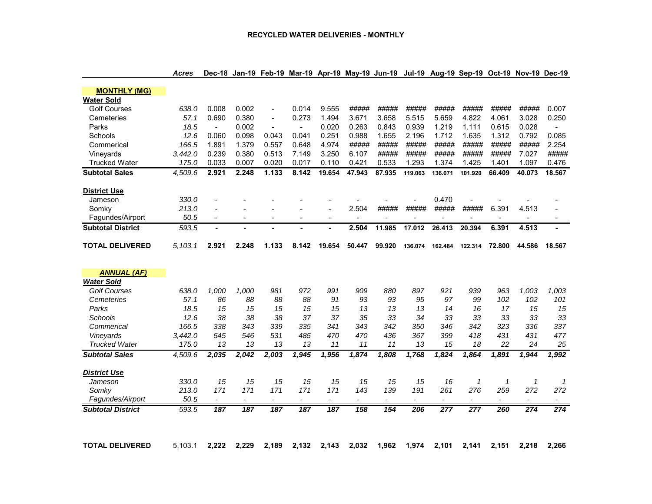| <b>MONTHLY (MG)</b>                     |         |                |                          |                |                          |                          |                |                |                |                |                          |              |                |                |
|-----------------------------------------|---------|----------------|--------------------------|----------------|--------------------------|--------------------------|----------------|----------------|----------------|----------------|--------------------------|--------------|----------------|----------------|
| <b>Water Sold</b>                       |         |                |                          |                |                          |                          |                |                |                |                |                          |              |                |                |
| <b>Golf Courses</b>                     | 638.0   | 0.008          | 0.002                    | $\blacksquare$ | 0.014                    | 9.555                    | #####          | #####          | #####          | #####          | #####                    | #####        | #####          | 0.007          |
| Cemeteries                              | 57.1    | 0.690          | 0.380                    | $\blacksquare$ | 0.273                    | 1.494                    | 3.671          | 3.658          | 5.515          | 5.659          | 4.822                    | 4.061        | 3.028          | 0.250          |
| Parks                                   | 18.5    | $\blacksquare$ | 0.002                    | $\overline{a}$ | $\overline{a}$           | 0.020                    | 0.263          | 0.843          | 0.939          | 1.219          | 1.111                    | 0.615        | 0.028          | $\overline{a}$ |
| Schools                                 | 12.6    | 0.060          | 0.098                    | 0.043          | 0.041                    | 0.251                    | 0.988          | 1.655          | 2.196          | 1.712          | 1.635                    | 1.312        | 0.792          | 0.085          |
| Commerical                              | 166.5   | 1.891          | 1.379                    | 0.557          | 0.648                    | 4.974                    | #####          | #####          | #####          | #####          | #####                    | #####        | #####          | 2.254          |
| Vineyards                               | 3,442.0 | 0.239          | 0.380                    | 0.513          | 7.149                    | 3.250                    | 6.107          | #####          | #####          | #####          | #####                    | #####        | 7.027          | #####          |
| <b>Trucked Water</b>                    | 175.0   | 0.033          | 0.007                    | 0.020          | 0.017                    | 0.110                    | 0.421          | 0.533          | 1.293          | 1.374          | 1.425                    | 1.401        | 1.097          | 0.476          |
| <b>Subtotal Sales</b>                   | 4.509.6 | 2.921          | 2.248                    | 1.133          | 8.142                    | 19.654                   | 47.943         | 87.935         | 119.063        | 136.071        | 101.920                  | 66.409       | 40.073         | 18.567         |
| <b>District Use</b>                     |         |                |                          |                |                          |                          |                |                |                |                |                          |              |                |                |
| Jameson                                 | 330.0   |                |                          |                |                          |                          |                |                |                | 0.470          |                          |              |                |                |
| Somkv                                   | 213.0   |                |                          |                |                          |                          | 2.504          | #####          | #####          | #####          | #####                    | 6.391        | 4.513          |                |
| Fagundes/Airport                        | 50.5    | $\blacksquare$ | $\blacksquare$           | $\blacksquare$ | $\overline{\phantom{a}}$ | $\blacksquare$           | $\blacksquare$ | $\blacksquare$ | $\blacksquare$ | $\blacksquare$ | $\overline{\phantom{a}}$ | $\sim$       |                |                |
| <b>Subtotal District</b>                | 593.5   |                |                          |                |                          |                          | 2.504          | 11.985         | 17.012         | 26.413         | 20.394                   | 6.391        | 4.513          |                |
| <b>TOTAL DELIVERED</b>                  | 5.103.1 | 2.921          | 2.248                    | 1.133          | 8.142                    | 19.654                   | 50.447         | 99.920         | 136.074        | 162.484        | 122.314                  | 72.800       | 44.586         | 18.567         |
|                                         |         |                |                          |                |                          |                          |                |                |                |                |                          |              |                |                |
| <b>ANNUAL (AF)</b><br><b>Water Sold</b> |         |                |                          |                |                          |                          |                |                |                |                |                          |              |                |                |
| <b>Golf Courses</b>                     | 638.0   | 1,000          | 1,000                    | 981            | 972                      | 991                      | 909            | 880            | 897            | 921            | 939                      | 963          | 1,003          | 1,003          |
| Cemeteries                              | 57.1    | 86             | 88                       | 88             | 88                       | 91                       | 93             | 93             | 95             | 97             | 99                       | 102          | 102            | 101            |
| Parks                                   | 18.5    | 15             | 15                       | 15             | 15                       | 15                       | 13             | 13             | 13             | 14             | 16                       | 17           | 15             | 15             |
| <b>Schools</b>                          | 12.6    | 38             | 38                       | 38             | 37                       | 37                       | 35             | 33             | 34             | 33             | 33                       | 33           | 33             | 33             |
| Commerical                              | 166.5   | 338            | 343                      | 339            | 335                      | 341                      | 343            | 342            | 350            | 346            | 342                      | 323          | 336            | 337            |
| Vineyards                               | 3,442.0 | 545            | 546                      | 531            | 485                      | 470                      | 470            | 436            | 367            | 399            | 418                      | 431          | 431            | 477            |
| <b>Trucked Water</b>                    | 175.0   | 13             | 13                       | 13             | 13                       | 11                       | 11             | 11             | 13             | 15             | 18                       | 22           | 24             | 25             |
| <b>Subtotal Sales</b>                   | 4,509.6 | 2,035          | 2,042                    | 2,003          | 1,945                    | 1,956                    | 1,874          | 1,808          | 1,768          | 1,824          | 1,864                    | 1,891        | $\sqrt{1,944}$ | 7,992          |
| <b>District Use</b>                     |         |                |                          |                |                          |                          |                |                |                |                |                          |              |                |                |
| Jameson                                 | 330.0   | 15             | 15                       | 15             | 15                       | 15                       | 15             | 15             | 15             | 16             | 1                        | $\mathbf{1}$ | $\mathcal I$   | $\mathcal I$   |
| Somky                                   | 213.0   | 171            | 171                      | 171            | 171                      | 171                      | 143            | 139            | 191            | 261            | 276                      | 259          | 272            | 272            |
| Fagundes/Airport                        | 50.5    |                | $\overline{\phantom{a}}$ |                |                          | $\overline{\phantom{a}}$ |                | $\overline{a}$ | $\overline{a}$ |                |                          |              |                |                |
| <b>Subtotal District</b>                | 593.5   | 187            | 187                      | 187            | 187                      | 187                      | 158            | 154            | 206            | 277            | 277                      | 260          | 274            | 274            |
|                                         |         |                |                          |                |                          |                          |                |                |                |                |                          |              |                |                |
|                                         |         |                |                          |                |                          |                          |                |                |                |                |                          |              |                |                |
|                                         |         |                |                          |                |                          |                          |                |                |                |                |                          |              |                |                |

Acres Dec-18 Jan-19 Feb-19 Mar-19 Apr-19 May-19 Jun-19 Jul-19 Aug-19 Sep-19 Oct-19 Nov-19 Dec-19

TOTAL DELIVERED 5,103.1 2,222 2,229 2,189 2,132 2,143 2,032 1,962 1,974 2,101 2,141 2,151 2,218 2,266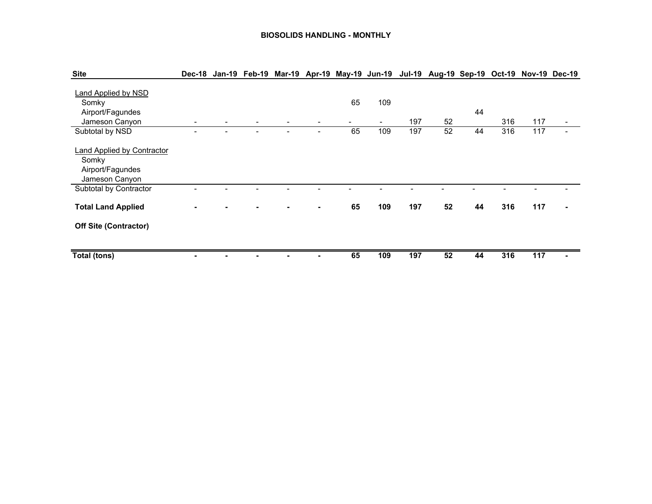#### **BIOSOLIDS HANDLING - MONTHLY**

| <b>Site</b>                                                                      | Dec-18         |  |                          |         |                       |     | Jan-19 Feb-19 Mar-19 Apr-19 May-19 Jun-19 Jul-19 Aug-19 Sep-19 Oct-19 Nov-19 Dec-19 |    |     |     |  |
|----------------------------------------------------------------------------------|----------------|--|--------------------------|---------|-----------------------|-----|-------------------------------------------------------------------------------------|----|-----|-----|--|
| Land Applied by NSD<br>Somky<br>Airport/Fagundes<br>Jameson Canyon               | $\blacksquare$ |  |                          | 65<br>- | 109<br>$\blacksquare$ | 197 | 52                                                                                  | 44 | 316 | 117 |  |
| Subtotal by NSD                                                                  |                |  | $\overline{\phantom{a}}$ | 65      | 109                   | 197 | 52                                                                                  | 44 | 316 | 117 |  |
| <b>Land Applied by Contractor</b><br>Somky<br>Airport/Fagundes<br>Jameson Canyon |                |  |                          |         |                       |     |                                                                                     |    |     |     |  |
| Subtotal by Contractor                                                           |                |  |                          |         |                       |     |                                                                                     |    |     |     |  |
| <b>Total Land Applied</b>                                                        |                |  | $\blacksquare$           | 65      | 109                   | 197 | 52                                                                                  | 44 | 316 | 117 |  |
| <b>Off Site (Contractor)</b>                                                     |                |  |                          |         |                       |     |                                                                                     |    |     |     |  |
| Total (tons)                                                                     |                |  |                          | 65      | 109                   | 197 | 52                                                                                  | 44 | 316 | 117 |  |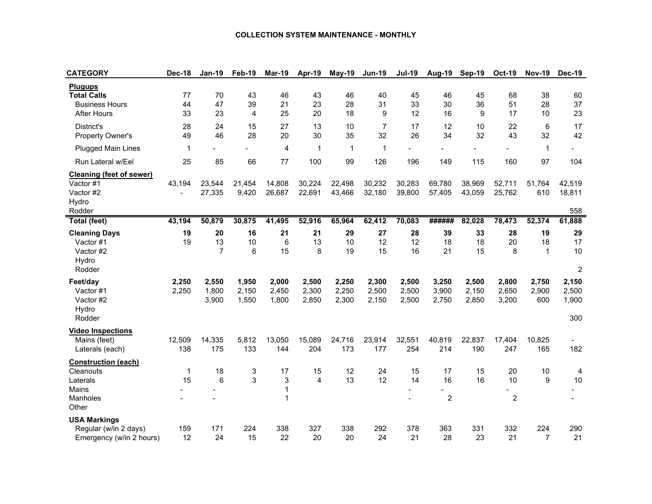#### **COLLECTION SYSTEM MAINTENANCE - MONTHLY**

| <b>CATEGORY</b>                                                                     | Dec-18                             | <b>Jan-19</b>              | Feb-19                  | <b>Mar-19</b>           | Apr-19                  | May-19                  | <b>Jun-19</b>           | <b>Jul-19</b>           | <b>Aug-19</b>              | <b>Sep-19</b>           | <b>Oct-19</b>              | <b>Nov-19</b>            | <b>Dec-19</b>                    |
|-------------------------------------------------------------------------------------|------------------------------------|----------------------------|-------------------------|-------------------------|-------------------------|-------------------------|-------------------------|-------------------------|----------------------------|-------------------------|----------------------------|--------------------------|----------------------------------|
| <b>Plugups</b><br><b>Total Calls</b><br><b>Business Hours</b><br><b>After Hours</b> | 77<br>44<br>33                     | 70<br>47<br>23             | 43<br>39<br>4           | 46<br>21<br>25          | 43<br>23<br>20          | 46<br>28<br>18          | 40<br>31<br>9           | 45<br>33<br>12          | 46<br>30<br>16             | 45<br>36<br>9           | 68<br>51<br>17             | 38<br>28<br>10           | 60<br>37<br>23                   |
| District's<br>Property Owner's                                                      | 28<br>49                           | 24<br>46                   | 15<br>28                | 27<br>20                | 13<br>30                | 10<br>35                | $\overline{7}$<br>32    | 17<br>26                | 12<br>34                   | 10<br>32                | 22<br>43                   | 6<br>32                  | 17<br>42                         |
| <b>Plugged Main Lines</b>                                                           | $\mathbf{1}$                       |                            |                         | 4                       | $\mathbf{1}$            | $\mathbf{1}$            | $\mathbf{1}$            |                         |                            |                         |                            | $\mathbf{1}$             |                                  |
| Run Lateral w/Eel                                                                   | 25                                 | 85                         | 66                      | 77                      | 100                     | 99                      | 126                     | 196                     | 149                        | 115                     | 160                        | 97                       | 104                              |
| <b>Cleaning (feet of sewer)</b><br>Vactor #1<br>Vactor #2<br>Hydro<br>Rodder        | 43,194<br>$\overline{\phantom{a}}$ | 23,544<br>27,335           | 21,454<br>9,420         | 14,808<br>26,687        | 30,224<br>22,691        | 22,498<br>43,466        | 30,232<br>32,180        | 30,283<br>39,800        | 69,780<br>57,405           | 38.969<br>43,059        | 52,711<br>25,762           | 51,764<br>610            | 42,519<br>18,811<br>558          |
| <b>Total (feet)</b>                                                                 | 43,194                             | 50,879                     | 30,875                  | 41,495                  | 52,916                  | 65,964                  | 62,412                  | 70,083                  | ######                     | 82,028                  | 78,473                     | 52,374                   | 61,888                           |
| <b>Cleaning Days</b><br>Vactor #1<br>Vactor #2<br>Hydro<br>Rodder                   | 19<br>19                           | 20<br>13<br>$\overline{7}$ | 16<br>10<br>6           | 21<br>6<br>15           | 21<br>13<br>8           | 29<br>10<br>19          | 27<br>12<br>15          | 28<br>12<br>16          | 39<br>18<br>21             | 33<br>18<br>15          | 28<br>20<br>8              | 19<br>18<br>$\mathbf{1}$ | 29<br>17<br>10<br>$\overline{2}$ |
| Feet/day<br>Vactor #1<br>Vactor #2<br>Hydro<br>Rodder                               | 2,250<br>2,250                     | 2,550<br>1,800<br>3,900    | 1,950<br>2,150<br>1,550 | 2,000<br>2,450<br>1,800 | 2,500<br>2,300<br>2,850 | 2,250<br>2,250<br>2,300 | 2,300<br>2,500<br>2,150 | 2,500<br>2,500<br>2,500 | 3,250<br>3,900<br>2,750    | 2,500<br>2,150<br>2,850 | 2,800<br>2,650<br>3,200    | 2,750<br>2,900<br>600    | 2,150<br>2,500<br>1,900<br>300   |
| <b>Video Inspections</b><br>Mains (feet)<br>Laterals (each)                         | 12,509<br>138                      | 14,335<br>175              | 5,812<br>133            | 13,050<br>144           | 15,089<br>204           | 24,716<br>173           | 23,914<br>177           | 32,551<br>254           | 40,819<br>214              | 22,837<br>190           | 17,404<br>247              | 10,825<br>165            | -<br>182                         |
| <b>Construction (each)</b><br>Cleanouts<br>Laterals<br>Mains<br>Manholes<br>Other   | 1<br>15                            | 18<br>6                    | 3<br>3                  | 17<br>3<br>1<br>1       | 15<br>$\overline{4}$    | 12<br>13                | 24<br>12                | 15<br>14                | 17<br>16<br>$\overline{c}$ | 15<br>16                | 20<br>10<br>$\overline{2}$ | 10<br>9                  | 4<br>10                          |
| <b>USA Markings</b><br>Regular (w/in 2 days)<br>Emergency (w/in 2 hours)            | 159<br>12                          | 171<br>24                  | 224<br>15               | 338<br>22               | 327<br>20               | 338<br>20               | 292<br>24               | 378<br>21               | 363<br>28                  | 331<br>23               | 332<br>21                  | 224<br>$\overline{7}$    | 290<br>21                        |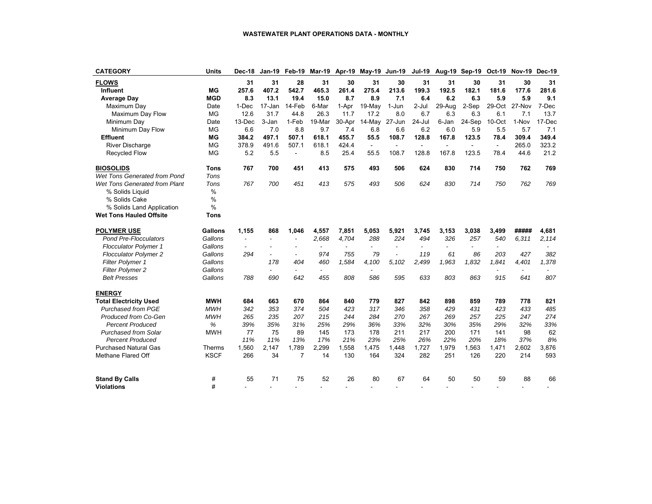| <b>CATEGORY</b>                | Units          | Dec-18    | Jan-19         | Feb-19                   |                          |                | Mar-19 Apr-19 May-19     | Jun-19                   | Jul-19                   |                          | Aug-19 Sep-19            | Oct-19                   | <b>Nov-19 Dec-19</b> |        |
|--------------------------------|----------------|-----------|----------------|--------------------------|--------------------------|----------------|--------------------------|--------------------------|--------------------------|--------------------------|--------------------------|--------------------------|----------------------|--------|
| <b>FLOWS</b>                   |                | 31        | 31             | 28                       | 31                       | 30             | 31                       | 30                       | 31                       | 31                       | 30                       | 31                       | 30                   | 31     |
| Influent                       | <b>MG</b>      | 257.6     | 407.2          | 542.7                    | 465.3                    | 261.4          | 275.4                    | 213.6                    | 199.3                    | 192.5                    | 182.1                    | 181.6                    | 177.6                | 281.6  |
| <b>Average Day</b>             | <b>MGD</b>     | 8.3       | 13.1           | 19.4                     | 15.0                     | 8.7            | 8.9                      | 7.1                      | 6.4                      | 6.2                      | 6.3                      | 5.9                      | 5.9                  | 9.1    |
| Maximum Day                    | Date           | 1-Dec     | 17-Jan         | 14-Feb                   | 6-Mar                    | 1-Apr          | 19-May                   | 1-Jun                    | $2 -$ Jul                | 29-Aug                   | 2-Sep                    | 29-Oct                   | 27-Nov               | 7-Dec  |
| Maximum Day Flow               | MG             | 12.6      | 31.7           | 44.8                     | 26.3                     | 11.7           | 17.2                     | 8.0                      | 6.7                      | 6.3                      | 6.3                      | 6.1                      | 7.1                  | 13.7   |
| Minimum Day                    | Date           | $13$ -Dec | 3-Jan          | 1-Feb                    | 19-Mar                   | 30-Apr         | 14-May                   | 27-Jun                   | $24$ -Jul                | 6-Jan                    | 24-Sep                   | 10-Oct                   | 1-Nov                | 17-Dec |
| Minimum Day Flow               | <b>MG</b>      | 6.6       | 7.0            | 8.8                      | 9.7                      | 7.4            | 6.8                      | 6.6                      | 6.2                      | 6.0                      | 5.9                      | 5.5                      | 5.7                  | 7.1    |
| <b>Effluent</b>                | <b>MG</b>      | 384.2     | 497.1          | 507.1                    | 618.1                    | 455.7          | 55.5                     | 108.7                    | 128.8                    | 167.8                    | 123.5                    | 78.4                     | 309.4                | 349.4  |
| <b>River Discharge</b>         | <b>MG</b>      | 378.9     | 491.6          | 507.1                    | 618.1                    | 424.4          | $\omega$                 | $\sim$                   | $\sim$                   | $\blacksquare$           |                          | $\sim$                   | 265.0                | 323.2  |
| Recycled Flow                  | <b>MG</b>      | 5.2       | 5.5            | $\blacksquare$           | 8.5                      | 25.4           | 55.5                     | 108.7                    | 128.8                    | 167.8                    | 123.5                    | 78.4                     | 44.6                 | 21.2   |
| <b>BIOSOLIDS</b>               | <b>Tons</b>    | 767       | 700            | 451                      | 413                      | 575            | 493                      | 506                      | 624                      | 830                      | 714                      | 750                      | 762                  | 769    |
| Wet Tons Generated from Pond   | Tons           |           |                |                          |                          |                |                          |                          |                          |                          |                          |                          |                      |        |
| Wet Tons Generated from Plant  | Tons           | 767       | 700            | 451                      | 413                      | 575            | 493                      | 506                      | 624                      | 830                      | 714                      | 750                      | 762                  | 769    |
| % Solids Liquid                | %              |           |                |                          |                          |                |                          |                          |                          |                          |                          |                          |                      |        |
| % Solids Cake                  | %              |           |                |                          |                          |                |                          |                          |                          |                          |                          |                          |                      |        |
| % Solids Land Application      | %              |           |                |                          |                          |                |                          |                          |                          |                          |                          |                          |                      |        |
| <b>Wet Tons Hauled Offsite</b> | <b>Tons</b>    |           |                |                          |                          |                |                          |                          |                          |                          |                          |                          |                      |        |
| <b>POLYMER USE</b>             | <b>Gallons</b> | 1,155     | 868            | 1.046                    | 4,557                    | 7,851          | 5,053                    | 5,921                    | 3,745                    | 3,153                    | 3,038                    | 3,499                    | #####                | 4,681  |
| <b>Pond Pre-Flocculators</b>   | Gallons        |           | $\overline{a}$ | ۰                        | 2.668                    | 4.704          | 288                      | 224                      | 494                      | 326                      | 257                      | 540                      | 6.311                | 2,114  |
| <b>Flocculator Polymer 1</b>   | Gallons        |           |                |                          | $\overline{\phantom{a}}$ | $\blacksquare$ | $\overline{\phantom{a}}$ | $\overline{\phantom{a}}$ | $\overline{\phantom{a}}$ | $\overline{\phantom{a}}$ | $\overline{\phantom{a}}$ | $\overline{\phantom{0}}$ |                      |        |
| <b>Flocculator Polymer 2</b>   | Gallons        | 294       |                | $\overline{\phantom{a}}$ | 974                      | 755            | 79                       |                          | 119                      | 61                       | 86                       | 203                      | 427                  | 382    |
| <b>Filter Polymer 1</b>        | Gallons        |           | 178            | 404                      | 460                      | 1.584          | 4,100                    | 5,102                    | 2,499                    | 1,963                    | 1.832                    | 1.841                    | 4.401                | 1,378  |
| Filter Polymer 2               | Gallons        |           |                | $\blacksquare$           | $\overline{\phantom{a}}$ |                |                          |                          |                          |                          |                          |                          |                      |        |
| <b>Belt Presses</b>            | Gallons        | 788       | 690            | 642                      | 455                      | 808            | 586                      | 595                      | 633                      | 803                      | 863                      | 915                      | 641                  | 807    |
| <b>ENERGY</b>                  |                |           |                |                          |                          |                |                          |                          |                          |                          |                          |                          |                      |        |
| <b>Total Electricity Used</b>  | <b>MWH</b>     | 684       | 663            | 670                      | 864                      | 840            | 779                      | 827                      | 842                      | 898                      | 859                      | 789                      | 778                  | 821    |
| <b>Purchased from PGE</b>      | <b>MWH</b>     | 342       | 353            | 374                      | 504                      | 423            | 317                      | 346                      | 358                      | 429                      | 431                      | 423                      | 433                  | 485    |
| Produced from Co-Gen           | <b>MWH</b>     | 265       | 235            | 207                      | 215                      | 244            | 284                      | 270                      | 267                      | 269                      | 257                      | 225                      | 247                  | 274    |
| <b>Percent Produced</b>        | %              | 39%       | 35%            | 31%                      | 25%                      | 29%            | 36%                      | 33%                      | 32%                      | 30%                      | 35%                      | 29%                      | 32%                  | 33%    |
| <b>Purchased from Solar</b>    | <b>MWH</b>     | 77        | 75             | 89                       | 145                      | 173            | 178                      | 211                      | 217                      | 200                      | 171                      | 141                      | 98                   | 62     |
| <b>Percent Produced</b>        |                | 11%       | 11%            | 13%                      | 17%                      | 21%            | 23%                      | 25%                      | 26%                      | 22%                      | 20%                      | 18%                      | 37%                  | 8%     |
| <b>Purchased Natural Gas</b>   | Therms         | 1,560     | 2.147          | 1.789                    | 2.299                    | 1,558          | 1,475                    | 1,448                    | 1,727                    | 1,979                    | 1,563                    | 1,471                    | 2,602                | 3,876  |
| Methane Flared Off             | <b>KSCF</b>    | 266       | 34             | $\overline{7}$           | 14                       | 130            | 164                      | 324                      | 282                      | 251                      | 126                      | 220                      | 214                  | 593    |
| <b>Stand By Calls</b>          | #              | 55        | 71             | 75                       | 52                       | 26             | 80                       | 67                       | 64                       | 50                       | 50                       | 59                       | 88                   | 66     |
| <b>Violations</b>              | #              |           |                |                          |                          |                |                          |                          |                          |                          |                          |                          |                      |        |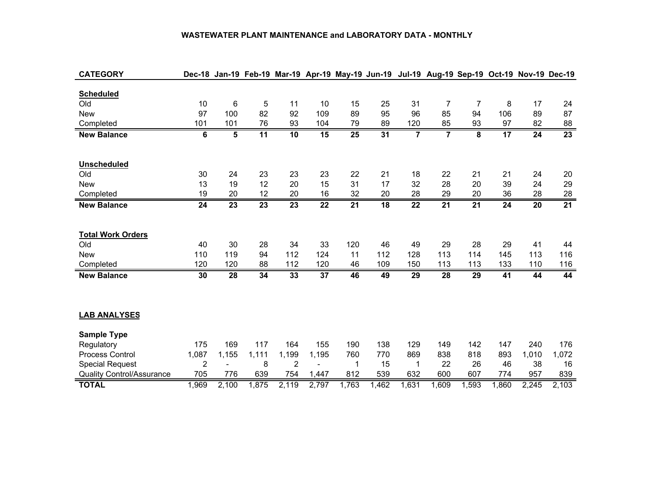#### **WASTEWATER PLANT MAINTENANCE and LABORATORY DATA - MONTHLY**

| <b>CATEGORY</b>                  |                 |                 |                 |                 |                 | Dec-18 Jan-19 Feb-19 Mar-19 Apr-19 May-19 Jun-19 Jul-19 Aug-19 Sep-19 Oct-19 Nov-19 Dec-19 |                 |                 |                 |                         |                 |                 |                 |
|----------------------------------|-----------------|-----------------|-----------------|-----------------|-----------------|--------------------------------------------------------------------------------------------|-----------------|-----------------|-----------------|-------------------------|-----------------|-----------------|-----------------|
|                                  |                 |                 |                 |                 |                 |                                                                                            |                 |                 |                 |                         |                 |                 |                 |
| <b>Scheduled</b>                 |                 |                 |                 |                 |                 |                                                                                            |                 |                 |                 |                         |                 |                 |                 |
| Old                              | 10              | 6               | 5               | 11              | 10              | 15                                                                                         | 25              | 31              | $\overline{7}$  | 7                       | 8               | 17              | 24              |
| <b>New</b>                       | 97              | 100             | 82              | 92              | 109             | 89                                                                                         | 95              | 96              | 85              | 94                      | 106             | 89              | 87              |
| Completed                        | 101             | 101             | 76              | 93              | 104             | 79                                                                                         | 89              | 120             | 85              | 93                      | 97              | 82              | 88              |
| <b>New Balance</b>               | 6               | 5               | $\overline{11}$ | 10              | 15              | $\overline{25}$                                                                            | 31              | $\overline{7}$  | $\overline{7}$  | $\overline{\mathbf{8}}$ | 17              | $\overline{24}$ | $\overline{23}$ |
|                                  |                 |                 |                 |                 |                 |                                                                                            |                 |                 |                 |                         |                 |                 |                 |
|                                  |                 |                 |                 |                 |                 |                                                                                            |                 |                 |                 |                         |                 |                 |                 |
| Unscheduled                      |                 |                 |                 |                 |                 |                                                                                            |                 |                 |                 |                         |                 |                 |                 |
| Old                              | 30              | 24              | 23              | 23              | 23              | 22                                                                                         | 21              | 18              | 22              | 21                      | 21              | 24              | 20              |
| <b>New</b>                       | 13              | 19              | 12              | 20              | 15              | 31                                                                                         | 17              | 32              | 28              | 20                      | 39              | 24              | 29              |
| Completed                        | 19              | 20              | 12              | 20              | 16              | 32                                                                                         | 20              | 28              | 29              | 20                      | 36              | 28              | 28              |
| <b>New Balance</b>               | $\overline{24}$ | $\overline{23}$ | $\overline{23}$ | $\overline{23}$ | $\overline{22}$ | $\overline{21}$                                                                            | $\overline{18}$ | $\overline{22}$ | $\overline{21}$ | $\overline{21}$         | 24              | 20              | $\overline{21}$ |
|                                  |                 |                 |                 |                 |                 |                                                                                            |                 |                 |                 |                         |                 |                 |                 |
|                                  |                 |                 |                 |                 |                 |                                                                                            |                 |                 |                 |                         |                 |                 |                 |
| <b>Total Work Orders</b>         |                 |                 |                 |                 |                 |                                                                                            |                 |                 |                 |                         |                 |                 |                 |
| Old                              | 40              | 30              | 28              | 34              | 33              | 120                                                                                        | 46              | 49              | 29              | 28                      | 29              | 41              | 44              |
| <b>New</b>                       | 110             | 119             | 94              | 112             | 124             | 11                                                                                         | 112             | 128             | 113             | 114                     | 145             | 113             | 116             |
| Completed                        | 120             | 120             | 88              | 112             | 120             | 46                                                                                         | 109             | 150             | 113             | 113                     | 133             | 110             | 116             |
| <b>New Balance</b>               | 30              | $\overline{28}$ | $\overline{34}$ | 33              | $\overline{37}$ | 46                                                                                         | 49              | $\overline{29}$ | $\overline{28}$ | $\overline{29}$         | $\overline{41}$ | 44              | 44              |
|                                  |                 |                 |                 |                 |                 |                                                                                            |                 |                 |                 |                         |                 |                 |                 |
|                                  |                 |                 |                 |                 |                 |                                                                                            |                 |                 |                 |                         |                 |                 |                 |
|                                  |                 |                 |                 |                 |                 |                                                                                            |                 |                 |                 |                         |                 |                 |                 |
| <b>LAB ANALYSES</b>              |                 |                 |                 |                 |                 |                                                                                            |                 |                 |                 |                         |                 |                 |                 |
| <b>Sample Type</b>               |                 |                 |                 |                 |                 |                                                                                            |                 |                 |                 |                         |                 |                 |                 |
| Regulatory                       | 175             | 169             | 117             | 164             | 155             | 190                                                                                        | 138             | 129             | 149             | 142                     | 147             | 240             | 176             |
| Process Control                  | 1,087           | 1,155           | 1,111           | 1,199           | 1,195           | 760                                                                                        | 770             | 869             | 838             | 818                     | 893             | 1,010           | 1,072           |
| <b>Special Request</b>           | 2               |                 | 8               | 2               |                 | 1                                                                                          | 15              | 1               | 22              | 26                      | 46              | 38              | 16              |
| <b>Quality Control/Assurance</b> | 705             | 776             | 639             | 754             | 1,447           | 812                                                                                        | 539             | 632             | 600             | 607                     | 774             | 957             | 839             |
|                                  |                 |                 |                 |                 |                 |                                                                                            |                 |                 |                 |                         |                 |                 |                 |
| <b>TOTAL</b>                     | 1,969           | 2,100           | 1,875           | 2,119           | 2,797           | 1,763                                                                                      | 1,462           | 1,631           | 1,609           | 1,593                   | 1,860           | 2,245           | 2,103           |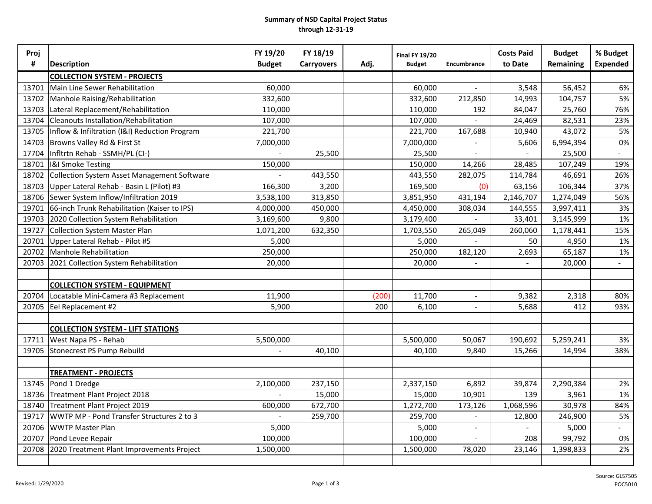#### **Summary of NSD Capital Project Status through 12-31-19**

| Proj  |                                                    | FY 19/20      | FY 18/19          |       | <b>Final FY 19/20</b> |                          | <b>Costs Paid</b>        | <b>Budget</b> | % Budget            |
|-------|----------------------------------------------------|---------------|-------------------|-------|-----------------------|--------------------------|--------------------------|---------------|---------------------|
| #     | Description                                        | <b>Budget</b> | <b>Carryovers</b> | Adj.  | <b>Budget</b>         | Encumbrance              | to Date                  | Remaining     | <b>Expended</b>     |
|       | <b>COLLECTION SYSTEM - PROJECTS</b>                |               |                   |       |                       |                          |                          |               |                     |
| 13701 | Main Line Sewer Rehabilitation                     | 60,000        |                   |       | 60,000                |                          | 3,548                    | 56,452        | 6%                  |
| 13702 | Manhole Raising/Rehabilitation                     | 332,600       |                   |       | 332,600               | 212,850                  | 14,993                   | 104,757       | 5%                  |
| 13703 | Lateral Replacement/Rehabilitation                 | 110,000       |                   |       | 110,000               | 192                      | 84,047                   | 25,760        | 76%                 |
| 13704 | Cleanouts Installation/Rehabilitation              | 107,000       |                   |       | 107,000               |                          | 24,469                   | 82,531        | 23%                 |
| 13705 | Inflow & Infiltration (I&I) Reduction Program      | 221,700       |                   |       | 221,700               | 167,688                  | 10,940                   | 43,072        | 5%                  |
| 14703 | Browns Valley Rd & First St                        | 7,000,000     |                   |       | 7,000,000             |                          | 5,606                    | 6,994,394     | $0\%$               |
| 17704 | Infltrtn Rehab - SSMH/PL (CI-)                     |               | 25,500            |       | 25,500                |                          |                          | 25,500        | $\sim$              |
| 18701 | <b>I&amp;I Smoke Testing</b>                       | 150,000       |                   |       | 150,000               | 14,266                   | 28,485                   | 107,249       | 19%                 |
| 18702 | Collection System Asset Management Software        |               | 443,550           |       | 443,550               | 282,075                  | 114,784                  | 46,691        | 26%                 |
| 18703 | Upper Lateral Rehab - Basin L (Pilot) #3           | 166,300       | 3,200             |       | 169,500               | (0)                      | 63,156                   | 106,344       | 37%                 |
|       | 18706 Sewer System Inflow/Infiltration 2019        | 3,538,100     | 313,850           |       | 3,851,950             | 431,194                  | 2,146,707                | 1,274,049     | 56%                 |
|       | 19701 66-inch Trunk Rehabilitation (Kaiser to IPS) | 4,000,000     | 450,000           |       | 4,450,000             | 308,034                  | 144,555                  | 3,997,411     | $3%$                |
|       | 19703 2020 Collection System Rehabilitation        | 3,169,600     | 9,800             |       | 3,179,400             |                          | 33,401                   | 3,145,999     | 1%                  |
| 19727 | Collection System Master Plan                      | 1,071,200     | 632,350           |       | 1,703,550             | 265,049                  | 260,060                  | 1,178,441     | 15%                 |
| 20701 | Upper Lateral Rehab - Pilot #5                     | 5,000         |                   |       | 5,000                 |                          | 50                       | 4,950         | 1%                  |
| 20702 | Manhole Rehabilitation                             | 250,000       |                   |       | 250,000               | 182,120                  | 2,693                    | 65,187        | 1%                  |
| 20703 | 2021 Collection System Rehabilitation              | 20,000        |                   |       | 20,000                |                          | $\blacksquare$           | 20,000        | $\Delta \sim 10$    |
|       |                                                    |               |                   |       |                       |                          |                          |               |                     |
|       | <b>COLLECTION SYSTEM - EQUIPMENT</b>               |               |                   |       |                       |                          |                          |               |                     |
| 20704 | Locatable Mini-Camera #3 Replacement               | 11,900        |                   | (200) | 11,700                | $\overline{\phantom{a}}$ | 9,382                    | 2,318         | 80%                 |
|       | 20705 Eel Replacement #2                           | 5,900         |                   | 200   | 6,100                 | $\blacksquare$           | 5,688                    | 412           | 93%                 |
|       |                                                    |               |                   |       |                       |                          |                          |               |                     |
|       | <b>COLLECTION SYSTEM - LIFT STATIONS</b>           |               |                   |       |                       |                          |                          |               |                     |
| 17711 | West Napa PS - Rehab                               | 5,500,000     |                   |       | 5,500,000             | 50,067                   | 190,692                  | 5,259,241     | 3%                  |
| 19705 | Stonecrest PS Pump Rebuild                         |               | 40,100            |       | 40,100                | 9,840                    | 15,266                   | 14,994        | 38%                 |
|       |                                                    |               |                   |       |                       |                          |                          |               |                     |
|       | <b>TREATMENT - PROJECTS</b>                        |               |                   |       |                       |                          |                          |               |                     |
| 13745 | Pond 1 Dredge                                      | 2,100,000     | 237,150           |       | 2,337,150             | 6,892                    | 39,874                   | 2,290,384     | 2%                  |
| 18736 | Treatment Plant Project 2018                       |               | 15,000            |       | 15,000                | 10,901                   | 139                      | 3,961         | 1%                  |
| 18740 | Treatment Plant Project 2019                       | 600,000       | 672,700           |       | 1,272,700             | 173,126                  | 1,068,596                | 30,978        | 84%                 |
| 19717 | WWTP MP - Pond Transfer Structures 2 to 3          |               | 259,700           |       | 259,700               | $\overline{a}$           | 12,800                   | 246,900       | 5%                  |
| 20706 | <b>WWTP Master Plan</b>                            | 5,000         |                   |       | 5,000                 | $\sim$                   | $\overline{\phantom{a}}$ | 5,000         | $\mathcal{L}^{\pm}$ |
| 20707 | Pond Levee Repair                                  | 100,000       |                   |       | 100,000               | $\overline{\phantom{a}}$ | 208                      | 99,792        | 0%                  |
| 20708 | 2020 Treatment Plant Improvements Project          | 1,500,000     |                   |       | 1,500,000             | 78,020                   | 23,146                   | 1,398,833     | 2%                  |
|       |                                                    |               |                   |       |                       |                          |                          |               |                     |
|       |                                                    |               |                   |       |                       |                          |                          |               |                     |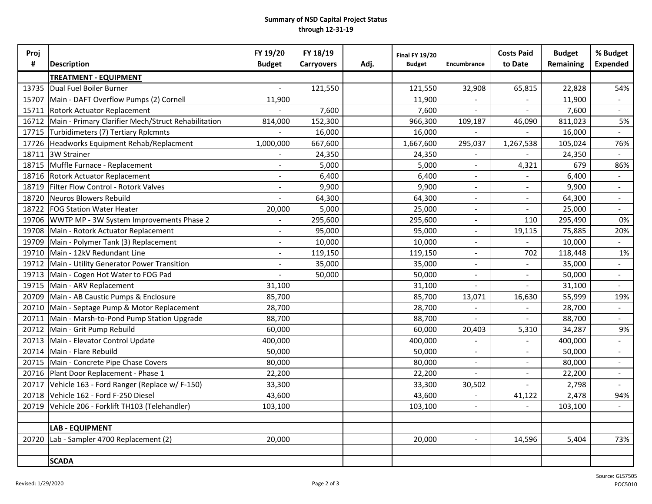#### **Summary of NSD Capital Project Status through 12-31-19**

| Proj<br># | <b>Description</b>                                  | FY 19/20<br><b>Budget</b> | FY 18/19<br><b>Carryovers</b> | Adj. | <b>Final FY 19/20</b><br><b>Budget</b> | Encumbrance              | <b>Costs Paid</b><br>to Date | <b>Budget</b><br>Remaining | % Budget<br><b>Expended</b> |
|-----------|-----------------------------------------------------|---------------------------|-------------------------------|------|----------------------------------------|--------------------------|------------------------------|----------------------------|-----------------------------|
|           | <b>TREATMENT - EQUIPMENT</b>                        |                           |                               |      |                                        |                          |                              |                            |                             |
| 13735     | Dual Fuel Boiler Burner                             |                           | 121,550                       |      | 121,550                                | 32,908                   | 65,815                       | 22,828                     | 54%                         |
| 15707     | Main - DAFT Overflow Pumps (2) Cornell              | 11,900                    |                               |      | 11,900                                 |                          |                              | 11,900                     |                             |
| 15711     | Rotork Actuator Replacement                         |                           | 7,600                         |      | 7,600                                  | $\overline{a}$           |                              | 7,600                      | $\sim$                      |
| 16712     | Main - Primary Clarifier Mech/Struct Rehabilitation | 814,000                   | 152,300                       |      | 966,300                                | 109,187                  | 46,090                       | 811,023                    | 5%                          |
| 17715     | Turbidimeters (7) Tertiary Rplcmnts                 |                           | 16,000                        |      | 16,000                                 |                          |                              | 16,000                     | $\sim$                      |
| 17726     | Headworks Equipment Rehab/Replacment                | 1,000,000                 | 667,600                       |      | 1,667,600                              | 295,037                  | 1,267,538                    | 105,024                    | 76%                         |
| 18711     | 3W Strainer                                         |                           | 24,350                        |      | 24,350                                 | $\overline{\phantom{a}}$ |                              | 24,350                     | $\sim$                      |
| 18715     | Muffle Furnace - Replacement                        |                           | 5,000                         |      | 5,000                                  | $\overline{\phantom{a}}$ | 4,321                        | 679                        | 86%                         |
| 18716     | <b>Rotork Actuator Replacement</b>                  |                           | 6,400                         |      | 6,400                                  | $\overline{\phantom{a}}$ |                              | 6,400                      | $\equiv$                    |
| 18719     | Filter Flow Control - Rotork Valves                 |                           | 9,900                         |      | 9,900                                  | $\sim$                   | $\overline{\phantom{a}}$     | 9,900                      | $\sim$                      |
| 18720     | Neuros Blowers Rebuild                              |                           | 64,300                        |      | 64,300                                 | $\sim$                   | $\overline{\phantom{a}}$     | 64,300                     | $\sim$                      |
| 18722     | <b>FOG Station Water Heater</b>                     | 20,000                    | 5,000                         |      | 25,000                                 | $\overline{\phantom{a}}$ |                              | 25,000                     | $\sim$                      |
| 19706     | WWTP MP - 3W System Improvements Phase 2            |                           | 295,600                       |      | 295,600                                | $\overline{\phantom{a}}$ | 110                          | 295,490                    | 0%                          |
| 19708     | Main - Rotork Actuator Replacement                  |                           | 95,000                        |      | 95,000                                 | $\blacksquare$           | 19,115                       | 75,885                     | 20%                         |
| 19709     | Main - Polymer Tank (3) Replacement                 |                           | 10,000                        |      | 10,000                                 | $\blacksquare$           |                              | 10,000                     |                             |
| 19710     | Main - 12kV Redundant Line                          |                           | 119,150                       |      | 119,150                                |                          | 702                          | 118,448                    | 1%                          |
| 19712     | Main - Utility Generator Power Transition           |                           | 35,000                        |      | 35,000                                 | $\overline{\phantom{a}}$ | $\blacksquare$               | 35,000                     | $\omega$                    |
| 19713     | Main - Cogen Hot Water to FOG Pad                   |                           | 50,000                        |      | 50,000                                 | $\overline{\phantom{a}}$ | $\overline{\phantom{a}}$     | 50,000                     | $\sim$                      |
| 19715     | Main - ARV Replacement                              | 31,100                    |                               |      | 31,100                                 | $\overline{\phantom{a}}$ |                              | 31,100                     | $\sim$                      |
| 20709     | Main - AB Caustic Pumps & Enclosure                 | 85,700                    |                               |      | 85,700                                 | 13,071                   | 16,630                       | 55,999                     | 19%                         |
| 20710     | Main - Septage Pump & Motor Replacement             | 28,700                    |                               |      | 28,700                                 | $\overline{a}$           | $\overline{\phantom{0}}$     | 28,700                     | $\sim$                      |
| 20711     | Main - Marsh-to-Pond Pump Station Upgrade           | 88,700                    |                               |      | 88,700                                 | $\blacksquare$           | $\blacksquare$               | 88,700                     | $\sim$                      |
| 20712     | Main - Grit Pump Rebuild                            | 60,000                    |                               |      | 60,000                                 | 20,403                   | 5,310                        | 34,287                     | 9%                          |
| 20713     | Main - Elevator Control Update                      | 400,000                   |                               |      | 400,000                                |                          | $\qquad \qquad -$            | 400,000                    | $\mathcal{L}_{\mathcal{A}}$ |
| 20714     | Main - Flare Rebuild                                | 50,000                    |                               |      | 50,000                                 | $\overline{a}$           | $\overline{\phantom{a}}$     | 50,000                     | $\omega$                    |
| 20715     | Main - Concrete Pipe Chase Covers                   | 80,000                    |                               |      | 80,000                                 | $\sim$                   | $\overline{a}$               | 80,000                     | $\sim$                      |
| 20716     | Plant Door Replacement - Phase 1                    | 22,200                    |                               |      | 22,200                                 | $\blacksquare$           | $\overline{\phantom{0}}$     | 22,200                     | $\sim$                      |
| 20717     | Vehicle 163 - Ford Ranger (Replace w/ F-150)        | 33,300                    |                               |      | 33,300                                 | 30,502                   |                              | 2,798                      | $\sim$                      |
| 20718     | Vehicle 162 - Ford F-250 Diesel                     | 43,600                    |                               |      | 43,600                                 | $\overline{a}$           | 41,122                       | 2,478                      | 94%                         |
| 20719     | Vehicle 206 - Forklift TH103 (Telehandler)          | 103,100                   |                               |      | 103,100                                |                          |                              | 103,100                    |                             |
|           |                                                     |                           |                               |      |                                        |                          |                              |                            |                             |
|           | <b>LAB - EQUIPMENT</b>                              |                           |                               |      |                                        |                          |                              |                            |                             |
| 20720     | Lab - Sampler 4700 Replacement (2)                  | 20,000                    |                               |      | 20,000                                 |                          | 14,596                       | 5,404                      | 73%                         |
|           |                                                     |                           |                               |      |                                        |                          |                              |                            |                             |
|           | <b>SCADA</b>                                        |                           |                               |      |                                        |                          |                              |                            |                             |